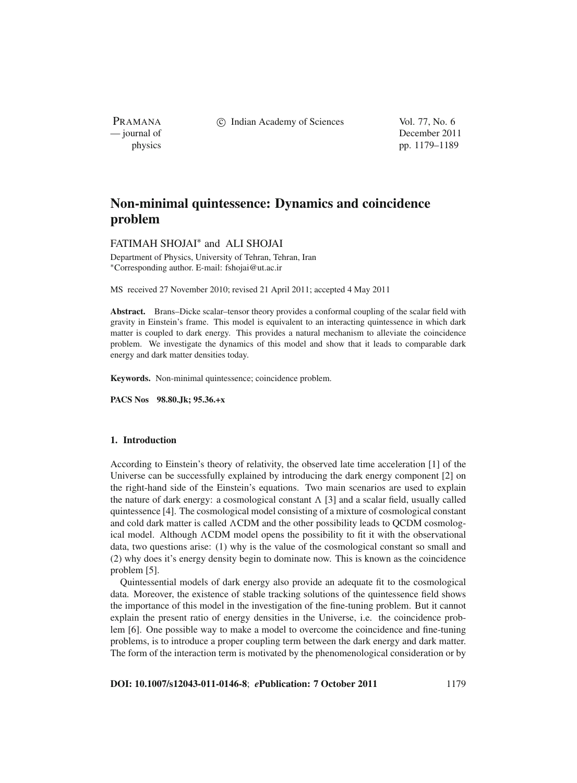PRAMANA

c Indian Academy of Sciences Vol. 77, No. 6

— journal of December 2011 physics pp. 1179–1189

# **Non-minimal quintessence: Dynamics and coincidence problem**

# FATIMAH SHOJAI<sup>∗</sup> and ALI SHOJAI

Department of Physics, University of Tehran, Tehran, Iran <sup>∗</sup>Corresponding author. E-mail: fshojai@ut.ac.ir

MS received 27 November 2010; revised 21 April 2011; accepted 4 May 2011

**Abstract.** Brans–Dicke scalar–tensor theory provides a conformal coupling of the scalar field with gravity in Einstein's frame. This model is equivalent to an interacting quintessence in which dark matter is coupled to dark energy. This provides a natural mechanism to alleviate the coincidence problem. We investigate the dynamics of this model and show that it leads to comparable dark energy and dark matter densities today.

**Keywords.** Non-minimal quintessence; coincidence problem.

**PACS Nos 98.80.Jk; 95.36.+x**

# **1. Introduction**

According to Einstein's theory of relativity, the observed late time acceleration [1] of the Universe can be successfully explained by introducing the dark energy component [2] on the right-hand side of the Einstein's equations. Two main scenarios are used to explain the nature of dark energy: a cosmological constant  $\Lambda$  [3] and a scalar field, usually called quintessence [4]. The cosmological model consisting of a mixture of cosmological constant and cold dark matter is called ACDM and the other possibility leads to QCDM cosmological model. Although  $\Lambda$ CDM model opens the possibility to fit it with the observational data, two questions arise: (1) why is the value of the cosmological constant so small and (2) why does it's energy density begin to dominate now. This is known as the coincidence problem [5].

Quintessential models of dark energy also provide an adequate fit to the cosmological data. Moreover, the existence of stable tracking solutions of the quintessence field shows the importance of this model in the investigation of the fine-tuning problem. But it cannot explain the present ratio of energy densities in the Universe, i.e. the coincidence problem [6]. One possible way to make a model to overcome the coincidence and fine-tuning problems, is to introduce a proper coupling term between the dark energy and dark matter. The form of the interaction term is motivated by the phenomenological consideration or by

**DOI: 10.1007/s12043-011-0146-8**; *e***Publication: 7 October 2011** 1179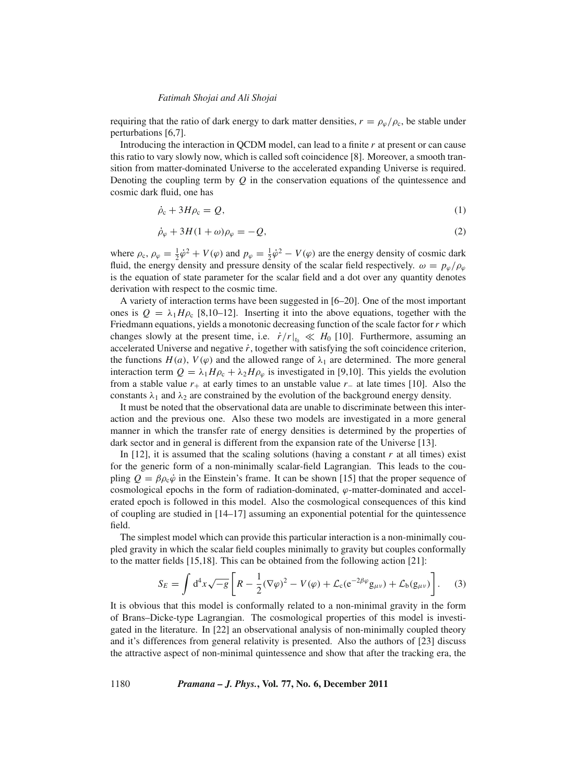requiring that the ratio of dark energy to dark matter densities,  $r = \rho_{\varphi}/\rho_c$ , be stable under perturbations [6,7].

Introducing the interaction in QCDM model, can lead to a finite *r* at present or can cause this ratio to vary slowly now, which is called soft coincidence [8]. Moreover, a smooth transition from matter-dominated Universe to the accelerated expanding Universe is required. Denoting the coupling term by  $Q$  in the conservation equations of the quintessence and cosmic dark fluid, one has

$$
\dot{\rho}_c + 3H\rho_c = Q,\tag{1}
$$

$$
\dot{\rho}_{\varphi} + 3H(1+\omega)\rho_{\varphi} = -Q,\tag{2}
$$

where  $\rho_c$ ,  $\rho_\varphi = \frac{1}{2}\dot{\varphi}^2 + V(\varphi)$  and  $p_\varphi = \frac{1}{2}\dot{\varphi}^2 - V(\varphi)$  are the energy density of cosmic dark fluid, the energy density and pressure density of the scalar field respectively.  $\omega = p_{\omega}/\rho_{\omega}$ is the equation of state parameter for the scalar field and a dot over any quantity denotes derivation with respect to the cosmic time.

A variety of interaction terms have been suggested in [6–20]. One of the most important ones is  $Q = \lambda_1 H \rho_c$  [8,10–12]. Inserting it into the above equations, together with the Friedmann equations, yields a monotonic decreasing function of the scale factor for*r* which changes slowly at the present time, i.e.  $\dot{r}/r|_{t_0} \ll H_0$  [10]. Furthermore, assuming an accelerated Universe and negative  $\dot{r}$ , together with satisfying the soft coincidence criterion, the functions  $H(a)$ ,  $V(\varphi)$  and the allowed range of  $\lambda_1$  are determined. The more general interaction term  $Q = \lambda_1 H \rho_c + \lambda_2 H \rho_\varphi$  is investigated in [9,10]. This yields the evolution from a stable value *r*<sup>+</sup> at early times to an unstable value *r*<sup>−</sup> at late times [10]. Also the constants  $\lambda_1$  and  $\lambda_2$  are constrained by the evolution of the background energy density.

It must be noted that the observational data are unable to discriminate between this interaction and the previous one. Also these two models are investigated in a more general manner in which the transfer rate of energy densities is determined by the properties of dark sector and in general is different from the expansion rate of the Universe [13].

In  $[12]$ , it is assumed that the scaling solutions (having a constant  $r$  at all times) exist for the generic form of a non-minimally scalar-field Lagrangian. This leads to the coupling  $Q = \beta \rho_c \dot{\varphi}$  in the Einstein's frame. It can be shown [15] that the proper sequence of cosmological epochs in the form of radiation-dominated,  $\varphi$ -matter-dominated and accelerated epoch is followed in this model. Also the cosmological consequences of this kind of coupling are studied in [14–17] assuming an exponential potential for the quintessence field.

The simplest model which can provide this particular interaction is a non-minimally coupled gravity in which the scalar field couples minimally to gravity but couples conformally to the matter fields [15,18]. This can be obtained from the following action [21]:

$$
S_E = \int d^4x \sqrt{-g} \left[ R - \frac{1}{2} (\nabla \varphi)^2 - V(\varphi) + \mathcal{L}_c (e^{-2\beta \varphi} g_{\mu\nu}) + \mathcal{L}_b (g_{\mu\nu}) \right].
$$
 (3)

It is obvious that this model is conformally related to a non-minimal gravity in the form of Brans–Dicke-type Lagrangian. The cosmological properties of this model is investigated in the literature. In [22] an observational analysis of non-minimally coupled theory and it's differences from general relativity is presented. Also the authors of [23] discuss the attractive aspect of non-minimal quintessence and show that after the tracking era, the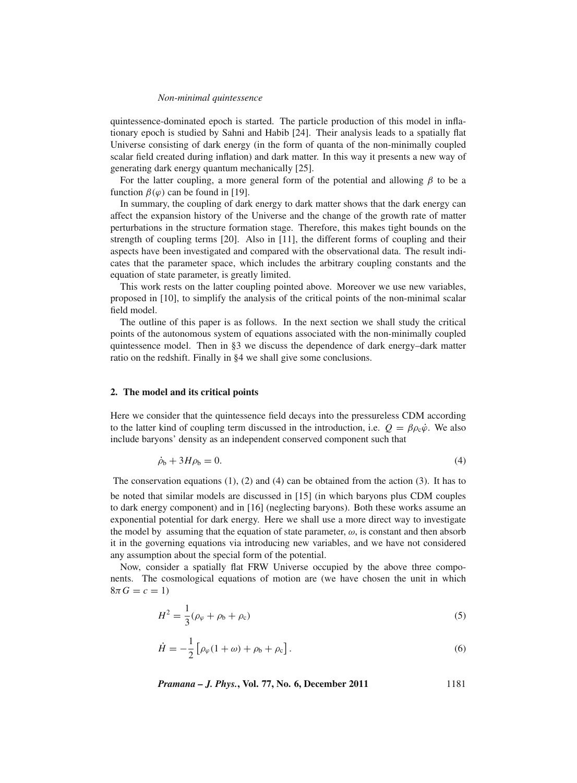#### *Non-minimal quintessence*

quintessence-dominated epoch is started. The particle production of this model in inflationary epoch is studied by Sahni and Habib [24]. Their analysis leads to a spatially flat Universe consisting of dark energy (in the form of quanta of the non-minimally coupled scalar field created during inflation) and dark matter. In this way it presents a new way of generating dark energy quantum mechanically [25].

For the latter coupling, a more general form of the potential and allowing  $\beta$  to be a function  $\beta(\varphi)$  can be found in [19].

In summary, the coupling of dark energy to dark matter shows that the dark energy can affect the expansion history of the Universe and the change of the growth rate of matter perturbations in the structure formation stage. Therefore, this makes tight bounds on the strength of coupling terms [20]. Also in [11], the different forms of coupling and their aspects have been investigated and compared with the observational data. The result indicates that the parameter space, which includes the arbitrary coupling constants and the equation of state parameter, is greatly limited.

This work rests on the latter coupling pointed above. Moreover we use new variables, proposed in [10], to simplify the analysis of the critical points of the non-minimal scalar field model.

The outline of this paper is as follows. In the next section we shall study the critical points of the autonomous system of equations associated with the non-minimally coupled quintessence model. Then in §3 we discuss the dependence of dark energy–dark matter ratio on the redshift. Finally in §4 we shall give some conclusions.

## **2. The model and its critical points**

Here we consider that the quintessence field decays into the pressureless CDM according to the latter kind of coupling term discussed in the introduction, i.e.  $Q = \beta \rho_c \dot{\varphi}$ . We also include baryons' density as an independent conserved component such that

$$
\dot{\rho}_b + 3H\rho_b = 0. \tag{4}
$$

The conservation equations  $(1)$ ,  $(2)$  and  $(4)$  can be obtained from the action  $(3)$ . It has to be noted that similar models are discussed in [15] (in which baryons plus CDM couples to dark energy component) and in [16] (neglecting baryons). Both these works assume an exponential potential for dark energy. Here we shall use a more direct way to investigate the model by assuming that the equation of state parameter,  $\omega$ , is constant and then absorb it in the governing equations via introducing new variables, and we have not considered any assumption about the special form of the potential.

Now, consider a spatially flat FRW Universe occupied by the above three components. The cosmological equations of motion are (we have chosen the unit in which  $8\pi G = c = 1$ 

$$
H^2 = \frac{1}{3}(\rho_\varphi + \rho_b + \rho_c) \tag{5}
$$

$$
\dot{H} = -\frac{1}{2} \left[ \rho_{\varphi} (1 + \omega) + \rho_{\rm b} + \rho_{\rm c} \right]. \tag{6}
$$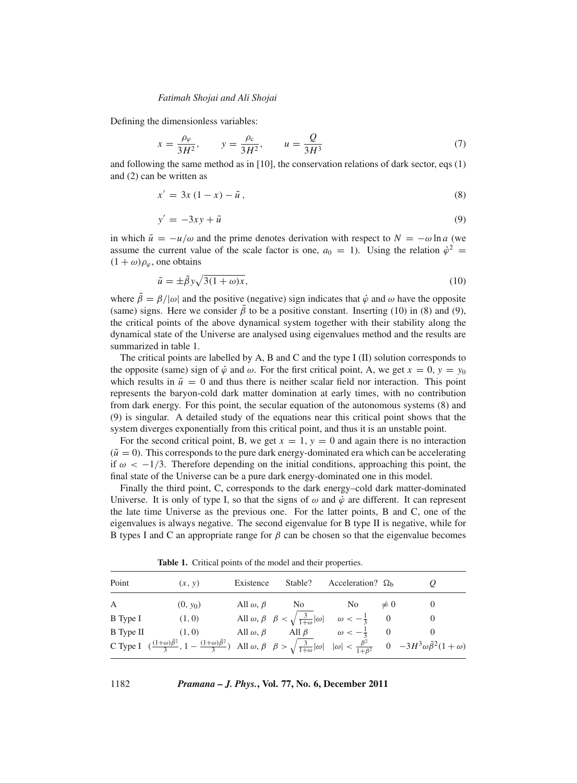Defining the dimensionless variables:

$$
x = \frac{\rho_{\varphi}}{3H^2}
$$
,  $y = \frac{\rho_c}{3H^2}$ ,  $u = \frac{Q}{3H^3}$  (7)

and following the same method as in [10], the conservation relations of dark sector, eqs (1) and (2) can be written as

$$
x' = 3x(1-x) - \tilde{u},\tag{8}
$$

$$
y' = -3xy + \tilde{u} \tag{9}
$$

in which  $\tilde{u} = -u/\omega$  and the prime denotes derivation with respect to  $N = -\omega \ln a$  (we assume the current value of the scale factor is one,  $a_0 = 1$ ). Using the relation  $\dot{\varphi}^2$  =  $(1 + \omega)\rho_{\varphi}$ , one obtains

$$
\tilde{u} = \pm \tilde{\beta} y \sqrt{3(1+\omega)x},\tag{10}
$$

where  $\tilde{\beta} = \beta/|\omega|$  and the positive (negative) sign indicates that  $\dot{\varphi}$  and  $\omega$  have the opposite (same) signs. Here we consider  $\hat{\beta}$  to be a positive constant. Inserting (10) in (8) and (9), the critical points of the above dynamical system together with their stability along the dynamical state of the Universe are analysed using eigenvalues method and the results are summarized in table 1.

The critical points are labelled by A, B and C and the type I (II) solution corresponds to the opposite (same) sign of  $\dot{\varphi}$  and  $\omega$ . For the first critical point, A, we get  $x = 0$ ,  $y = y_0$ which results in  $\tilde{u} = 0$  and thus there is neither scalar field nor interaction. This point represents the baryon-cold dark matter domination at early times, with no contribution from dark energy. For this point, the secular equation of the autonomous systems (8) and (9) is singular. A detailed study of the equations near this critical point shows that the system diverges exponentially from this critical point, and thus it is an unstable point.

For the second critical point, B, we get  $x = 1$ ,  $y = 0$  and again there is no interaction  $(\tilde{u} = 0)$ . This corresponds to the pure dark energy-dominated era which can be accelerating if  $\omega < -1/3$ . Therefore depending on the initial conditions, approaching this point, the final state of the Universe can be a pure dark energy-dominated one in this model.

Finally the third point, C, corresponds to the dark energy–cold dark matter-dominated Universe. It is only of type I, so that the signs of  $\omega$  and  $\dot{\varphi}$  are different. It can represent the late time Universe as the previous one. For the latter points, B and C, one of the eigenvalues is always negative. The second eigenvalue for B type II is negative, while for B types I and C an appropriate range for  $\beta$  can be chosen so that the eigenvalue becomes

**Table 1.** Critical points of the model and their properties.

| Point     | (x, y)                                                                                                                                                                                                                                       | Existence              | Stable?                                                                                                   | Acceleration? $\Omega_{\rm h}$ |          |  |
|-----------|----------------------------------------------------------------------------------------------------------------------------------------------------------------------------------------------------------------------------------------------|------------------------|-----------------------------------------------------------------------------------------------------------|--------------------------------|----------|--|
| A         | $(0, y_0)$                                                                                                                                                                                                                                   | All $\omega$ , $\beta$ | No.                                                                                                       | No.                            | $\neq 0$ |  |
| B Type I  | (1,0)                                                                                                                                                                                                                                        |                        | All $\omega, \beta \quad \beta < \sqrt{\frac{3}{1+\omega}}  \omega  \quad \omega < -\frac{1}{3} \qquad 0$ |                                |          |  |
| B Type II | (1,0)                                                                                                                                                                                                                                        |                        | All $\omega, \beta$ All $\beta$ $\omega < -\frac{1}{3}$ 0                                                 |                                |          |  |
|           | C Type I $(\frac{(1+\omega)\tilde{\beta}^2}{3}, 1 - \frac{(1+\omega)\tilde{\beta}^2}{3})$ All $\omega, \beta \quad \beta > \sqrt{\frac{3}{1+\omega}}  \omega   \omega  < \frac{\beta^2}{1+\beta^2}$ 0 $-3H^3\omega\tilde{\beta}^2(1+\omega)$ |                        |                                                                                                           |                                |          |  |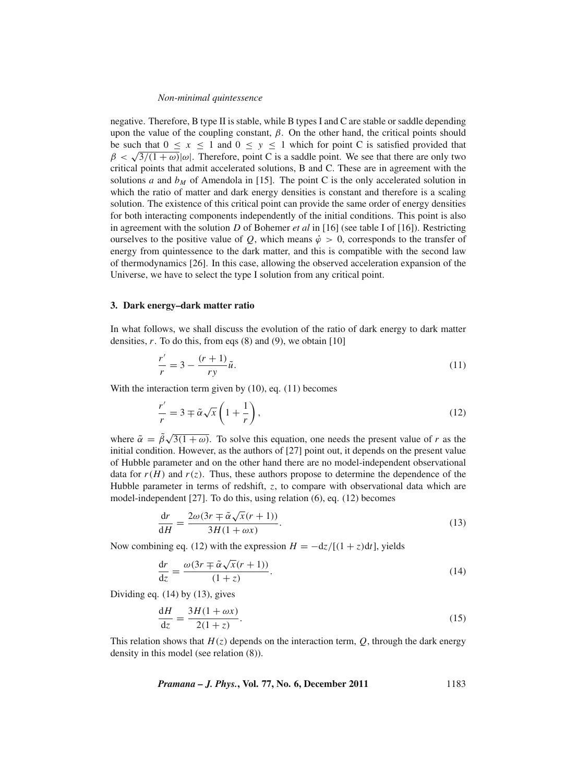#### *Non-minimal quintessence*

negative. Therefore, B type II is stable, while B types I and C are stable or saddle depending upon the value of the coupling constant,  $β$ . On the other hand, the critical points should be such that  $0 \le x \le 1$  and  $0 \le y \le 1$  which for point C is satisfied provided that  $\beta < \sqrt{3/(1 + \omega)} |\omega|$ . Therefore, point C is a saddle point. We see that there are only two critical points that admit accelerated solutions, B and C. These are in agreement with the solutions *a* and  $b_M$  of Amendola in [15]. The point C is the only accelerated solution in which the ratio of matter and dark energy densities is constant and therefore is a scaling solution. The existence of this critical point can provide the same order of energy densities for both interacting components independently of the initial conditions. This point is also in agreement with the solution *D* of Bohemer *et al* in [16] (see table I of [16]). Restricting ourselves to the positive value of *Q*, which means  $\dot{\varphi} > 0$ , corresponds to the transfer of energy from quintessence to the dark matter, and this is compatible with the second law of thermodynamics [26]. In this case, allowing the observed acceleration expansion of the Universe, we have to select the type I solution from any critical point.

### **3. Dark energy–dark matter ratio**

In what follows, we shall discuss the evolution of the ratio of dark energy to dark matter densities,  $r$ . To do this, from eqs  $(8)$  and  $(9)$ , we obtain  $[10]$ 

$$
\frac{r'}{r} = 3 - \frac{(r+1)}{ry}\tilde{u}.\tag{11}
$$

With the interaction term given by (10), eq. (11) becomes

$$
\frac{r'}{r} = 3 \mp \tilde{\alpha}\sqrt{x} \left(1 + \frac{1}{r}\right),\tag{12}
$$

where  $\tilde{\alpha} = \tilde{\beta}\sqrt{3(1+\omega)}$ . To solve this equation, one needs the present value of *r* as the initial condition. However, as the authors of [27] point out, it depends on the present value of Hubble parameter and on the other hand there are no model-independent observational data for  $r(H)$  and  $r(z)$ . Thus, these authors propose to determine the dependence of the Hubble parameter in terms of redshift, *z*, to compare with observational data which are model-independent [27]. To do this, using relation (6), eq. (12) becomes

$$
\frac{\mathrm{d}r}{\mathrm{d}H} = \frac{2\omega(3r \mp \tilde{\alpha}\sqrt{x}(r+1))}{3H(1+\omega x)}.\tag{13}
$$

Now combining eq. (12) with the expression  $H = -dz/[(1 + z)dt]$ , yields

$$
\frac{dr}{dz} = \frac{\omega(3r \mp \tilde{\alpha}\sqrt{x}(r+1))}{(1+z)}.
$$
\n(14)

Dividing eq. (14) by (13), gives

$$
\frac{dH}{dz} = \frac{3H(1+\omega x)}{2(1+z)}.\tag{15}
$$

This relation shows that  $H(z)$  depends on the interaction term,  $Q$ , through the dark energy density in this model (see relation (8)).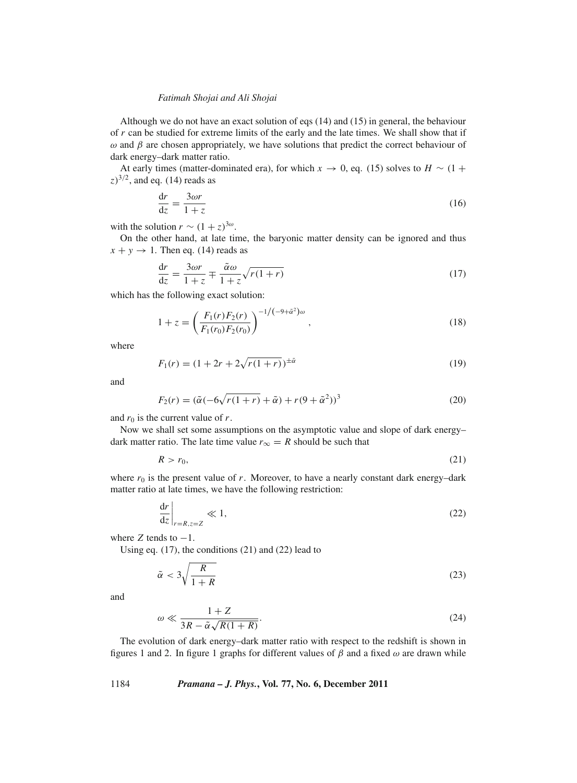Although we do not have an exact solution of eqs (14) and (15) in general, the behaviour of *r* can be studied for extreme limits of the early and the late times. We shall show that if  $ω$  and  $β$  are chosen appropriately, we have solutions that predict the correct behaviour of dark energy–dark matter ratio.

At early times (matter-dominated era), for which  $x \to 0$ , eq. (15) solves to  $H \sim (1 +$  $(z)^{3/2}$ , and eq. (14) reads as

$$
\frac{\mathrm{d}r}{\mathrm{d}z} = \frac{3\omega r}{1+z} \tag{16}
$$

with the solution  $r \sim (1+z)^{3\omega}$ .

On the other hand, at late time, the baryonic matter density can be ignored and thus  $x + y \rightarrow 1$ . Then eq. (14) reads as

$$
\frac{dr}{dz} = \frac{3\omega r}{1+z} \mp \frac{\tilde{\alpha}\omega}{1+z} \sqrt{r(1+r)}\tag{17}
$$

which has the following exact solution:

$$
1 + z = \left(\frac{F_1(r)F_2(r)}{F_1(r_0)F_2(r_0)}\right)^{-1/(-9+\tilde{\alpha}^2)\omega},
$$
\n(18)

where

$$
F_1(r) = (1 + 2r + 2\sqrt{r(1+r)})^{\pm \tilde{\alpha}}
$$
\n(19)

and

$$
F_2(r) = (\tilde{\alpha}(-6\sqrt{r(1+r)} + \tilde{\alpha}) + r(9+\tilde{\alpha}^2))^3
$$
\n(20)

and  $r_0$  is the current value of  $r$ .

Now we shall set some assumptions on the asymptotic value and slope of dark energy– dark matter ratio. The late time value  $r_{\infty} = R$  should be such that

$$
R > r_0,\tag{21}
$$

where  $r_0$  is the present value of  $r$ . Moreover, to have a nearly constant dark energy-dark matter ratio at late times, we have the following restriction:

$$
\left. \frac{\mathrm{d}r}{\mathrm{d}z} \right|_{r=R,z=Z} \ll 1,\tag{22}
$$

where  $Z$  tends to  $-1$ .

Using eq. (17), the conditions (21) and (22) lead to

$$
\tilde{\alpha} < 3\sqrt{\frac{R}{1+R}}\tag{23}
$$

and

$$
\omega \ll \frac{1+Z}{3R - \tilde{\alpha}\sqrt{R(1+R)}}.\tag{24}
$$

The evolution of dark energy–dark matter ratio with respect to the redshift is shown in figures 1 and 2. In figure 1 graphs for different values of  $\beta$  and a fixed  $\omega$  are drawn while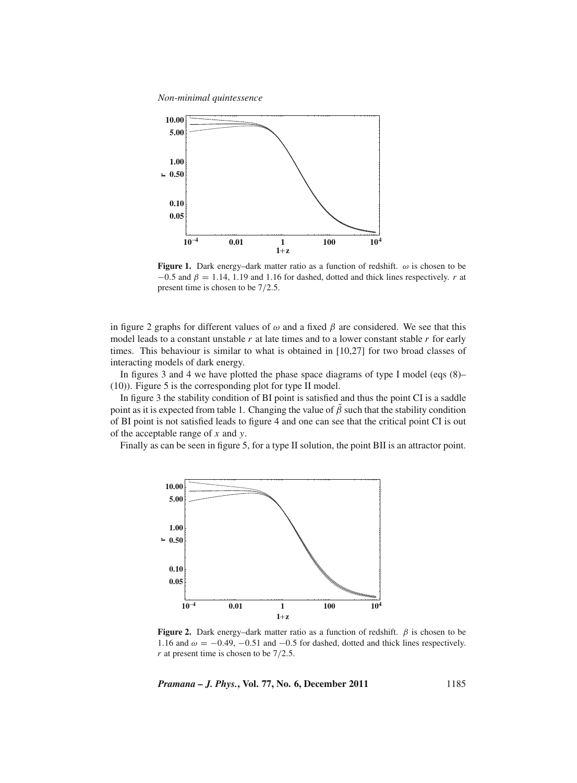*Non-minimal quintessence*



**Figure 1.** Dark energy–dark matter ratio as a function of redshift.  $\omega$  is chosen to be  $-0.5$  and  $\beta = 1.14$ , 1.19 and 1.16 for dashed, dotted and thick lines respectively. *r* at present time is chosen to be 7/2.5.

in figure 2 graphs for different values of  $\omega$  and a fixed  $\beta$  are considered. We see that this model leads to a constant unstable *r* at late times and to a lower constant stable *r* for early times. This behaviour is similar to what is obtained in [10,27] for two broad classes of interacting models of dark energy.

In figures 3 and 4 we have plotted the phase space diagrams of type I model (eqs (8)– (10)). Figure 5 is the corresponding plot for type II model.

In figure 3 the stability condition of BI point is satisfied and thus the point CI is a saddle point as it is expected from table 1. Changing the value of  $\hat{\beta}$  such that the stability condition of BI point is not satisfied leads to figure 4 and one can see that the critical point CI is out of the acceptable range of *x* and *y*.

Finally as can be seen in figure 5, for a type II solution, the point BII is an attractor point.



**Figure 2.** Dark energy–dark matter ratio as a function of redshift.  $\beta$  is chosen to be 1.16 and  $\omega = -0.49, -0.51$  and  $-0.5$  for dashed, dotted and thick lines respectively. *r* at present time is chosen to be  $7/2.5$ .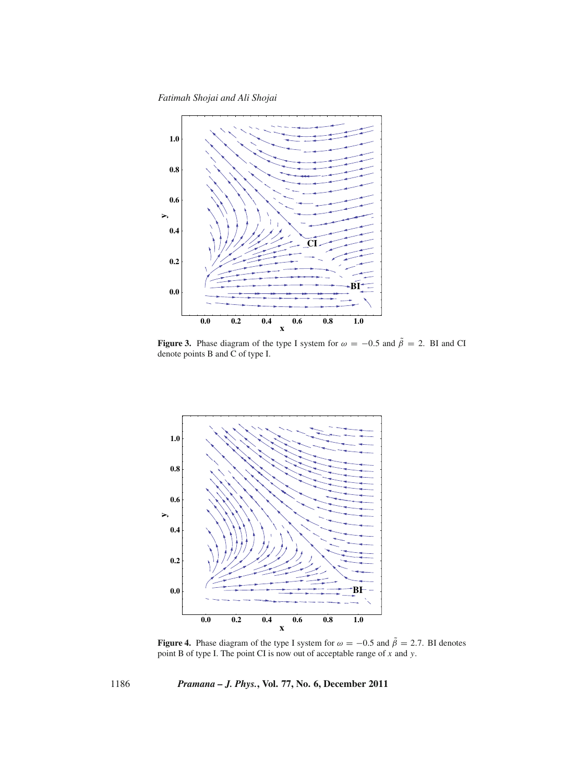*Fatimah Shojai and Ali Shojai*



**Figure 3.** Phase diagram of the type I system for  $\omega = -0.5$  and  $\tilde{\beta} = 2$ . BI and CI denote points B and C of type I.



**Figure 4.** Phase diagram of the type I system for  $\omega = -0.5$  and  $\tilde{\beta} = 2.7$ . BI denotes point B of type I. The point CI is now out of acceptable range of *x* and *y*.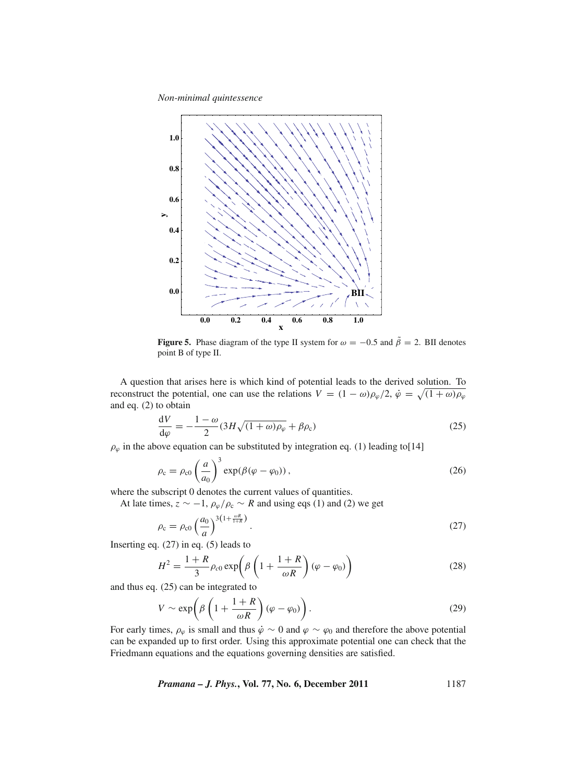*Non-minimal quintessence*



**Figure 5.** Phase diagram of the type II system for  $\omega = -0.5$  and  $\tilde{\beta} = 2$ . BII denotes point B of type II.

A question that arises here is which kind of potential leads to the derived solution. To reconstruct the potential, one can use the relations  $V = (1 - \omega)\rho_{\varphi}/2$ ,  $\dot{\varphi} = \sqrt{(1 + \omega)\rho_{\varphi}}$ and eq. (2) to obtain

$$
\frac{dV}{d\varphi} = -\frac{1-\omega}{2}(3H\sqrt{(1+\omega)\rho_{\varphi}} + \beta\rho_{c})
$$
\n(25)

 $\rho_{\varphi}$  in the above equation can be substituted by integration eq. (1) leading to[14]

$$
\rho_{\rm c} = \rho_{\rm c0} \left(\frac{a}{a_0}\right)^3 \exp(\beta(\varphi - \varphi_0)), \qquad (26)
$$

where the subscript 0 denotes the current values of quantities.

At late times,  $z \sim -1$ ,  $\rho_{\varphi}/\rho_c \sim R$  and using eqs (1) and (2) we get

$$
\rho_{\rm c} = \rho_{\rm c0} \left(\frac{a_0}{a}\right)^{3\left(1 + \frac{\omega R}{1 + R}\right)}.\tag{27}
$$

Inserting eq.  $(27)$  in eq.  $(5)$  leads to

$$
H^{2} = \frac{1+R}{3}\rho_{c0} \exp\left(\beta \left(1 + \frac{1+R}{\omega R}\right)(\varphi - \varphi_{0})\right)
$$
 (28)

and thus eq. (25) can be integrated to

$$
V \sim \exp\left(\beta \left(1 + \frac{1+R}{\omega R}\right)(\varphi - \varphi_0)\right). \tag{29}
$$

For early times,  $\rho_{\varphi}$  is small and thus  $\dot{\varphi} \sim 0$  and  $\varphi \sim \varphi_0$  and therefore the above potential can be expanded up to first order. Using this approximate potential one can check that the Friedmann equations and the equations governing densities are satisfied.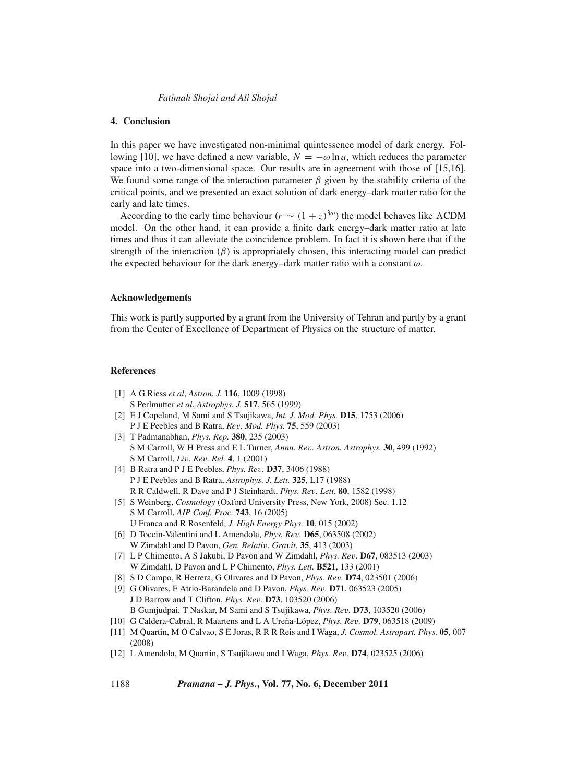## **4. Conclusion**

In this paper we have investigated non-minimal quintessence model of dark energy. Following [10], we have defined a new variable,  $N = -\omega \ln a$ , which reduces the parameter space into a two-dimensional space. Our results are in agreement with those of [15,16]. We found some range of the interaction parameter  $\beta$  given by the stability criteria of the critical points, and we presented an exact solution of dark energy–dark matter ratio for the early and late times.

According to the early time behaviour ( $r \sim (1+z)^{3\omega}$ ) the model behaves like  $\Lambda$ CDM model. On the other hand, it can provide a finite dark energy–dark matter ratio at late times and thus it can alleviate the coincidence problem. In fact it is shown here that if the strength of the interaction  $(\beta)$  is appropriately chosen, this interacting model can predict the expected behaviour for the dark energy–dark matter ratio with a constant  $\omega$ .

#### **Acknowledgements**

This work is partly supported by a grant from the University of Tehran and partly by a grant from the Center of Excellence of Department of Physics on the structure of matter.

## **References**

- [1] A G Riess *et al*, *Astron. J.* **116**, 1009 (1998) S Perlmutter *et al*, *Astrophys. J.* **517**, 565 (1999)
- [2] E J Copeland, M Sami and S Tsujikawa, *Int. J. Mod. Phys.* **D15**, 1753 (2006) P J E Peebles and B Ratra, *Re*v*. Mod. Phys.* **75**, 559 (2003)
- [3] T Padmanabhan, *Phys. Rep.* **380**, 235 (2003) S M Carroll, W H Press and E L Turner, *Annu. Re*v*. Astron. Astrophys.* **30**, 499 (1992) S M Carroll, *Li*v*. Re*v*. Rel.* **4**, 1 (2001)
- [4] B Ratra and P J E Peebles, *Phys. Re*v*.* **D37**, 3406 (1988) P J E Peebles and B Ratra, *Astrophys. J. Lett.* **325**, L17 (1988) R R Caldwell, R Dave and P J Steinhardt, *Phys. Re*v*. Lett.* **80**, 1582 (1998)
- [5] S Weinberg, *Cosmology* (Oxford University Press, New York, 2008) Sec. 1.12 S M Carroll, *AIP Conf. Proc.* **743**, 16 (2005) U Franca and R Rosenfeld, *J. High Energy Phys.* **10**, 015 (2002)
- [6] D Toccin-Valentini and L Amendola, *Phys. Re*v*.* **D65**, 063508 (2002) W Zimdahl and D Pavon, *Gen. Relati*v*. Gra*v*it.* **35**, 413 (2003)
- [7] L P Chimento, A S Jakubi, D Pavon and W Zimdahl, *Phys. Re*v*.* **D67**, 083513 (2003) W Zimdahl, D Pavon and L P Chimento, *Phys. Lett.* **B521**, 133 (2001)
- [8] S D Campo, R Herrera, G Olivares and D Pavon, *Phys. Re*v*.* **D74**, 023501 (2006)
- [9] G Olivares, F Atrio-Barandela and D Pavon, *Phys. Re*v*.* **D71**, 063523 (2005) J D Barrow and T Clifton, *Phys. Re*v*.* **D73**, 103520 (2006) B Gumjudpai, T Naskar, M Sami and S Tsujikawa, *Phys. Re*v*.* **D73**, 103520 (2006)
- [10] G Caldera-Cabral, R Maartens and L A Ureña-López, *Phys. Re*v*.* **D79**, 063518 (2009)
- [11] M Quartin, M O Calvao, S E Joras, R R R Reis and I Waga, *J. Cosmol. Astropart. Phys.* **05**, 007 (2008)
- [12] L Amendola, M Quartin, S Tsujikawa and I Waga, *Phys. Re*v*.* **D74**, 023525 (2006)